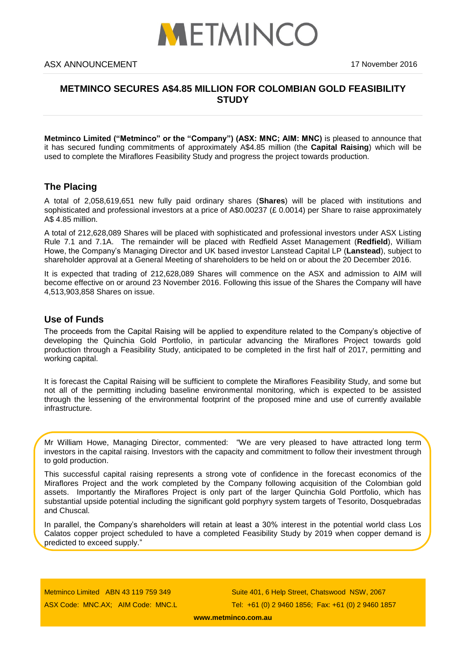

# **METMINCO SECURES A\$4.85 MILLION FOR COLOMBIAN GOLD FEASIBILITY STUDY**

**Metminco Limited ("Metminco" or the "Company") (ASX: MNC; AIM: MNC)** is pleased to announce that it has secured funding commitments of approximately A\$4.85 million (the **Capital Raising**) which will be used to complete the Miraflores Feasibility Study and progress the project towards production.

# **The Placing**

A total of 2,058,619,651 new fully paid ordinary shares (**Shares**) will be placed with institutions and sophisticated and professional investors at a price of A\$0.00237 (£ 0.0014) per Share to raise approximately A\$ 4.85 million.

A total of 212,628,089 Shares will be placed with sophisticated and professional investors under ASX Listing Rule 7.1 and 7.1A. The remainder will be placed with Redfield Asset Management (**Redfield**), William Howe, the Company's Managing Director and UK based investor Lanstead Capital LP (**Lanstead**), subject to shareholder approval at a General Meeting of shareholders to be held on or about the 20 December 2016.

It is expected that trading of 212,628,089 Shares will commence on the ASX and admission to AIM will become effective on or around 23 November 2016. Following this issue of the Shares the Company will have 4,513,903,858 Shares on issue.

## **Use of Funds**

The proceeds from the Capital Raising will be applied to expenditure related to the Company's objective of developing the Quinchia Gold Portfolio, in particular advancing the Miraflores Project towards gold production through a Feasibility Study, anticipated to be completed in the first half of 2017, permitting and working capital.

It is forecast the Capital Raising will be sufficient to complete the Miraflores Feasibility Study, and some but not all of the permitting including baseline environmental monitoring, which is expected to be assisted through the lessening of the environmental footprint of the proposed mine and use of currently available infrastructure.

Mr William Howe, Managing Director, commented: "We are very pleased to have attracted long term investors in the capital raising. Investors with the capacity and commitment to follow their investment through to gold production.

This successful capital raising represents a strong vote of confidence in the forecast economics of the Miraflores Project and the work completed by the Company following acquisition of the Colombian gold assets. Importantly the Miraflores Project is only part of the larger Quinchia Gold Portfolio, which has substantial upside potential including the significant gold porphyry system targets of Tesorito, Dosquebradas and Chuscal.

In parallel, the Company's shareholders will retain at least a 30% interest in the potential world class Los Calatos copper project scheduled to have a completed Feasibility Study by 2019 when copper demand is predicted to exceed supply."

Metminco Limited ABN 43 119 759 349 ASX Code: MNC.AX; AIM Code: MNC.L

Suite 401, 6 Help Street, Chatswood NSW, 2067 Tel: +61 (0) 2 9460 1856; Fax: +61 (0) 2 9460 1857

**[www.metminco.com.au](http://www.metminco.com.au/)**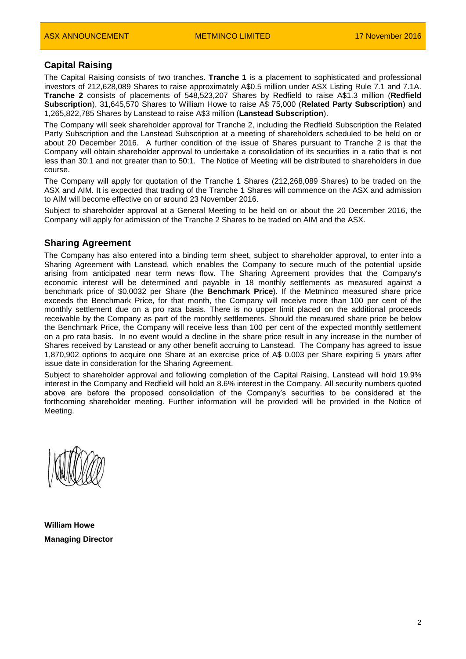## **Capital Raising**

The Capital Raising consists of two tranches. **Tranche 1** is a placement to sophisticated and professional investors of 212,628,089 Shares to raise approximately A\$0.5 million under ASX Listing Rule 7.1 and 7.1A. **Tranche 2** consists of placements of 548,523,207 Shares by Redfield to raise A\$1.3 million (**Redfield Subscription**), 31,645,570 Shares to William Howe to raise A\$ 75,000 (**Related Party Subscription**) and 1,265,822,785 Shares by Lanstead to raise A\$3 million (**Lanstead Subscription**).

The Company will seek shareholder approval for Tranche 2, including the Redfield Subscription the Related Party Subscription and the Lanstead Subscription at a meeting of shareholders scheduled to be held on or about 20 December 2016. A further condition of the issue of Shares pursuant to Tranche 2 is that the Company will obtain shareholder approval to undertake a consolidation of its securities in a ratio that is not less than 30:1 and not greater than to 50:1. The Notice of Meeting will be distributed to shareholders in due course.

The Company will apply for quotation of the Tranche 1 Shares (212,268,089 Shares) to be traded on the ASX and AIM. It is expected that trading of the Tranche 1 Shares will commence on the ASX and admission to AIM will become effective on or around 23 November 2016.

Subject to shareholder approval at a General Meeting to be held on or about the 20 December 2016, the Company will apply for admission of the Tranche 2 Shares to be traded on AIM and the ASX.

### **Sharing Agreement**

The Company has also entered into a binding term sheet, subject to shareholder approval, to enter into a Sharing Agreement with Lanstead, which enables the Company to secure much of the potential upside arising from anticipated near term news flow. The Sharing Agreement provides that the Company's economic interest will be determined and payable in 18 monthly settlements as measured against a benchmark price of \$0.0032 per Share (the **Benchmark Price**). If the Metminco measured share price exceeds the Benchmark Price, for that month, the Company will receive more than 100 per cent of the monthly settlement due on a pro rata basis. There is no upper limit placed on the additional proceeds receivable by the Company as part of the monthly settlements. Should the measured share price be below the Benchmark Price, the Company will receive less than 100 per cent of the expected monthly settlement on a pro rata basis. In no event would a decline in the share price result in any increase in the number of Shares received by Lanstead or any other benefit accruing to Lanstead. The Company has agreed to issue 1,870,902 options to acquire one Share at an exercise price of A\$ 0.003 per Share expiring 5 years after issue date in consideration for the Sharing Agreement.

Subject to shareholder approval and following completion of the Capital Raising, Lanstead will hold 19.9% interest in the Company and Redfield will hold an 8.6% interest in the Company. All security numbers quoted above are before the proposed consolidation of the Company's securities to be considered at the forthcoming shareholder meeting. Further information will be provided will be provided in the Notice of Meeting.

**William Howe Managing Director**